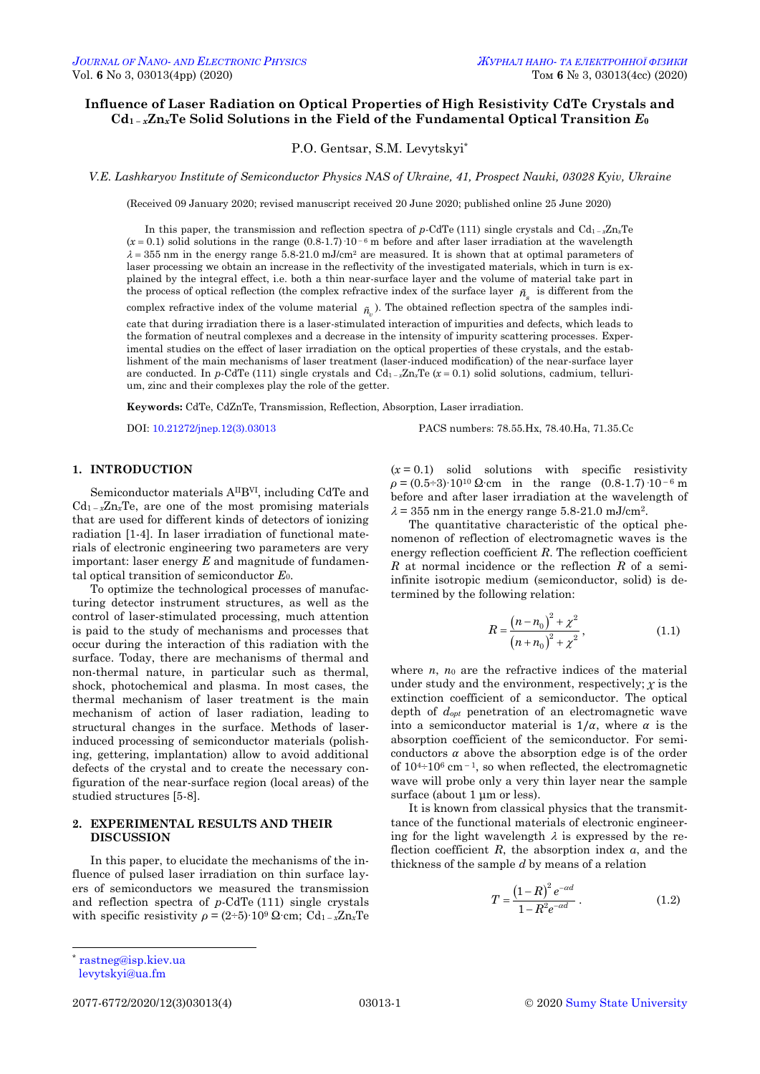# **Influence of Laser Radiation on Optical Properties of High Resistivity CdTe Crystals and** Cd<sub>1</sub> -  $_xZn_xTe$  Solid Solutions in the Field of the Fundamental Optical Transition  $E_0$

P.O. Gentsar, S.M. Levytskyi\*

*V.E. Lashkaryov Institute of Semiconductor Physics NAS of Ukraine, 41, Prospect Nauki, 03028 Kyiv, Ukraine*

(Received 09 January 2020; revised manuscript received 20 June 2020; published online 25 June 2020)

In this paper, the transmission and reflection spectra of *p*-CdTe (111) single crystals and Cd<sub>1</sub> –  $zZn_xTe$  $(x = 0.1)$  solid solutions in the range  $(0.8-1.7)$  10<sup>-6</sup> m before and after laser irradiation at the wavelength  $\lambda = 355$  nm in the energy range 5.8-21.0 mJ/cm<sup>2</sup> are measured. It is shown that at optimal parameters of laser processing we obtain an increase in the reflectivity of the investigated materials, which in turn is explained by the integral effect, i.e. both a thin near-surface layer and the volume of material take part in the process of optical reflection (the complex refractive index of the surface layer  $\tilde{n}_{s}^{}$  is different from the complex refractive index of the volume material  $\tilde{n}_v$ ). The obtained reflection spectra of the samples indi-

cate that during irradiation there is a laser-stimulated interaction of impurities and defects, which leads to the formation of neutral complexes and a decrease in the intensity of impurity scattering processes. Experimental studies on the effect of laser irradiation on the optical properties of these crystals, and the establishment of the main mechanisms of laser treatment (laser-induced modification) of the near-surface layer are conducted. In *p*-CdTe (111) single crystals and  $Cd_{1-x}Zn_xTe(x=0.1)$  solid solutions, cadmium, tellurium, zinc and their complexes play the role of the getter.

**Keywords:** CdTe, CdZnTe, Transmission, Reflection, Absorption, Laser irradiation.

DOI[: 10.21272/jnep.12\(3\).03013](https://doi.org/10.21272/jnep.12(3).03013) PACS numbers: 78.55.Hx, 78.40.Ha, 71.35.Cc

### **1. INTRODUCTION**

Semiconductor materials AIIBVI, including CdTe and  $Cd_{1-x}Z_{n}Te$ , are one of the most promising materials that are used for different kinds of detectors of ionizing radiation [1-4]. In laser irradiation of functional materials of electronic engineering two parameters are very important: laser energy *E* and magnitude of fundamental optical transition of semiconductor *E*0.

To optimize the technological processes of manufacturing detector instrument structures, as well as the control of laser-stimulated processing, much attention is paid to the study of mechanisms and processes that occur during the interaction of this radiation with the surface. Today, there are mechanisms of thermal and non-thermal nature, in particular such as thermal, shock, photochemical and plasma. In most cases, the thermal mechanism of laser treatment is the main mechanism of action of laser radiation, leading to structural changes in the surface. Methods of laserinduced processing of semiconductor materials (polishing, gettering, implantation) allow to avoid additional defects of the crystal and to create the necessary configuration of the near-surface region (local areas) of the studied structures [5-8].

## **2. EXPERIMENTAL RESULTS AND THEIR DISCUSSION**

In this paper, to elucidate the mechanisms of the influence of pulsed laser irradiation on thin surface layers of semiconductors we measured the transmission and reflection spectra of *p*-CdTe (111) single crystals with specific resistivity  $\rho = (2 \div 5) \cdot 10^9 \Omega \cdot \text{cm}$ ; Cd<sub>1 – *x*Zn*x*Te</sub>

 $(x=0.1)$  solid solutions with specific resistivity  $\rho = (0.5 \div 3) \cdot 10^{10} \Omega$ ⋅cm in the range  $(0.8 \cdot 1.7) \cdot 10^{-6}$  m before and after laser irradiation at the wavelength of  $\lambda = 355$  nm in the energy range 5.8-21.0 mJ/cm<sup>2</sup>.

The quantitative characteristic of the optical phenomenon of reflection of electromagnetic waves is the energy reflection coefficient *R*. The reflection coefficient *R* at normal incidence or the reflection *R* of a semiinfinite isotropic medium (semiconductor, solid) is determined by the following relation:

$$
R = \frac{(n - n_0)^2 + \chi^2}{(n + n_0)^2 + \chi^2},
$$
\n(1.1)

where  $n$ ,  $n_0$  are the refractive indices of the material under study and the environment, respectively; *χ* is the extinction coefficient of a semiconductor. The optical depth of *dopt* penetration of an electromagnetic wave into a semiconductor material is  $1/\alpha$ , where  $\alpha$  is the absorption coefficient of the semiconductor. For semiconductors  $\alpha$  above the absorption edge is of the order of  $10^{4}$  +  $10^{6}$  cm  $^{-1}$ , so when reflected, the electromagnetic wave will probe only a very thin layer near the sample surface (about 1 μm or less).

It is known from classical physics that the transmittance of the functional materials of electronic engineering for the light wavelength  $\lambda$  is expressed by the reflection coefficient *R*, the absorption index *α*, and the thickness of the sample *d* by means of a relation

$$
T = \frac{\left(1 - R\right)^2 e^{-\alpha d}}{1 - R^2 e^{-\alpha d}} \,. \tag{1.2}
$$

[rastneg@isp.kiev.ua](mailto:rastneg@isp.kiev.ua)  [levytskyi@ua.fm](mailto:levytskyi@ua.fm)

 $\overline{a}$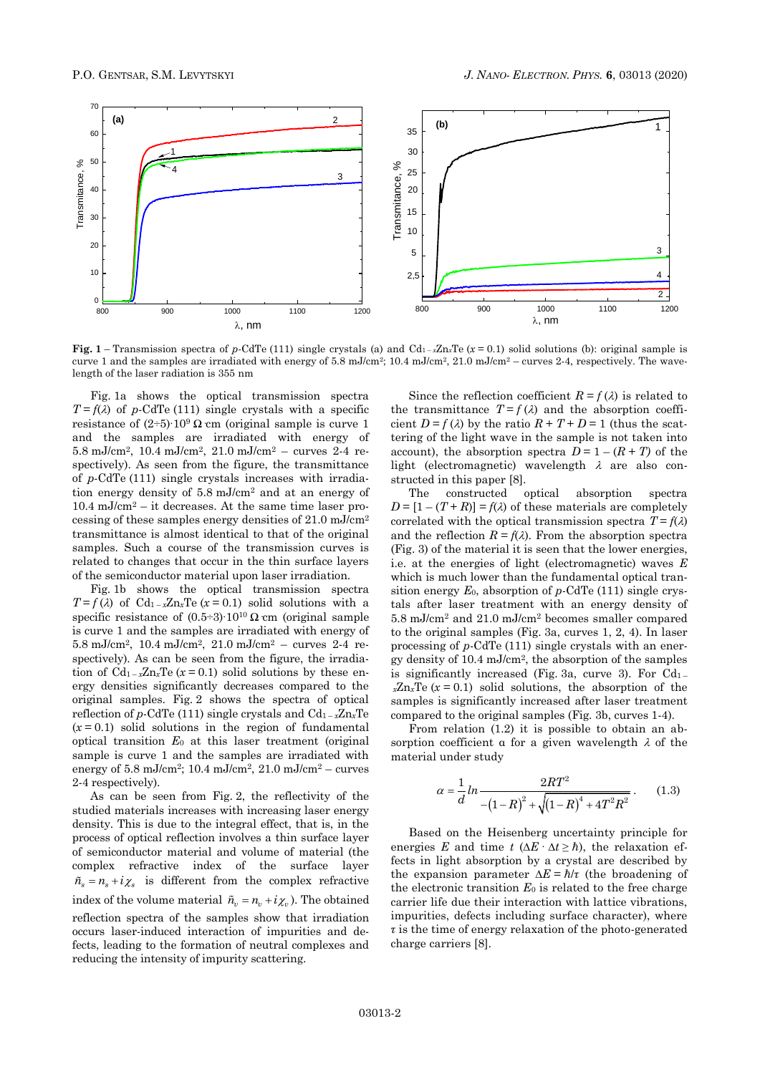

**Fig.** 1 – Transmission spectra of *p*-CdTe (111) single crystals (a) and Cd<sub>1</sub>- $x$ Zn<sub>x</sub>Te ( $x = 0.1$ ) solid solutions (b): original sample is curve 1 and the samples are irradiated with energy of 5.8 mJ/cm<sup>2</sup>; 10.4 mJ/cm<sup>2</sup>, 21.0 mJ/cm<sup>2</sup> – curves 2-4, respectively. The wavelength of the laser radiation is 355 nm

Fig. 1a shows the optical transmission spectra  $T = f(\lambda)$  of *p*-CdTe (111) single crystals with a specific resistance of  $(2\div 5)$ ∙10<sup>9</sup> Ω cm (original sample is curve 1 and the samples are irradiated with energy of 5.8 mJ/cm<sup>2</sup> , 10.4 mJ/cm<sup>2</sup> , 21.0 mJ/cm<sup>2</sup> – curves 2-4 respectively). As seen from the figure, the transmittance of *p*-CdTe (111) single crystals increases with irradiation energy density of 5.8 mJ/cm<sup>2</sup> and at an energy of  $10.4 \text{ mJ/cm}^2$  – it decreases. At the same time laser processing of these samples energy densities of 21.0 mJ/cm<sup>2</sup> transmittance is almost identical to that of the original samples. Such a course of the transmission curves is related to changes that occur in the thin surface layers of the semiconductor material upon laser irradiation.

Fig. 1b shows the optical transmission spectra  $T = f(\lambda)$  of Cd<sub>1-x</sub>Zn<sub>x</sub>Te ( $x = 0.1$ ) solid solutions with a specific resistance of  $(0.5\div 3)$ ∙10<sup>10</sup> Ω cm (original sample is curve 1 and the samples are irradiated with energy of 5.8 mJ/cm<sup>2</sup> , 10.4 mJ/cm<sup>2</sup> , 21.0 mJ/cm<sup>2</sup> – curves 2-4 respectively). As can be seen from the figure, the irradiation of  $Cd_{1-x}Z_{n}Te(x=0.1)$  solid solutions by these energy densities significantly decreases compared to the original samples. Fig. 2 shows the spectra of optical reflection of *p*-CdTe (111) single crystals and Cd<sup>1</sup> – *<sup>х</sup>*Zn*х*Te  $(x=0.1)$  solid solutions in the region of fundamental optical transition *E*<sup>0</sup> at this laser treatment (original sample is curve 1 and the samples are irradiated with energy of  $5.8 \text{ mJ/cm}^2$ ;  $10.4 \text{ mJ/cm}^2$ ,  $21.0 \text{ mJ/cm}^2$  – curves 2-4 respectively).

As can be seen from Fig. 2, the reflectivity of the studied materials increases with increasing laser energy density. This is due to the integral effect, that is, in the process of optical reflection involves a thin surface layer of semiconductor material and volume of material (the complex refractive index of the surface layer  $\tilde{n}_s = n_s + i\chi_s$  is different from the complex refractive index of the volume material  $\tilde{n}_v = n_v + i\chi_v$ ). The obtained reflection spectra of the samples show that irradiation occurs laser-induced interaction of impurities and defects, leading to the formation of neutral complexes and reducing the intensity of impurity scattering.

Since the reflection coefficient  $R = f(\lambda)$  is related to the transmittance  $T = f(\lambda)$  and the absorption coefficient  $D = f(\lambda)$  by the ratio  $R + T + D = 1$  (thus the scattering of the light wave in the sample is not taken into account), the absorption spectra  $D = 1 - (R + T)$  of the light (electromagnetic) wavelength  $\lambda$  are also constructed in this paper [8].

The constructed optical absorption spectra  $D = [1 - (T + R)] = f(\lambda)$  of these materials are completely correlated with the optical transmission spectra  $T = f(\lambda)$ and the reflection  $R = f(\lambda)$ . From the absorption spectra (Fig. 3) of the material it is seen that the lower energies, i.e. at the energies of light (electromagnetic) waves *E* which is much lower than the fundamental optical transition energy *Е*0, absorption of *p*-CdTe (111) single crystals after laser treatment with an energy density of 5.8 mJ/cm<sup>2</sup> and 21.0 mJ/cm<sup>2</sup> becomes smaller compared to the original samples (Fig. 3a, curves 1, 2, 4). In laser processing of *p*-CdTe (111) single crystals with an energy density of 10.4 mJ/cm<sup>2</sup> , the absorption of the samples is significantly increased (Fig. 3a, curve 3). For  $Cd<sub>1</sub>$  $xZn_xTe$  ( $x=0.1$ ) solid solutions, the absorption of the samples is significantly increased after laser treatment compared to the original samples (Fig. 3b, curves 1-4).

From relation (1.2) it is possible to obtain an absorption coefficient  $\alpha$  for a given wavelength  $\lambda$  of the material under study

$$
\alpha = \frac{1}{d} \ln \frac{2RT^2}{-\left(1 - R\right)^2 + \sqrt{\left(1 - R\right)^4 + 4T^2 R^2}}.
$$
 (1.3)

Based on the Heisenberg uncertainty principle for energies *E* and time *t* ( $\Delta E \cdot \Delta t \ge \hbar$ ), the relaxation effects in light absorption by a crystal are described by the expansion parameter  $\Delta E = \hbar/\tau$  (the broadening of the electronic transition *Е*<sup>0</sup> is related to the free charge carrier life due their interaction with lattice vibrations, impurities, defects including surface character), where *τ* is the time of energy relaxation of the photo-generated charge carriers [8].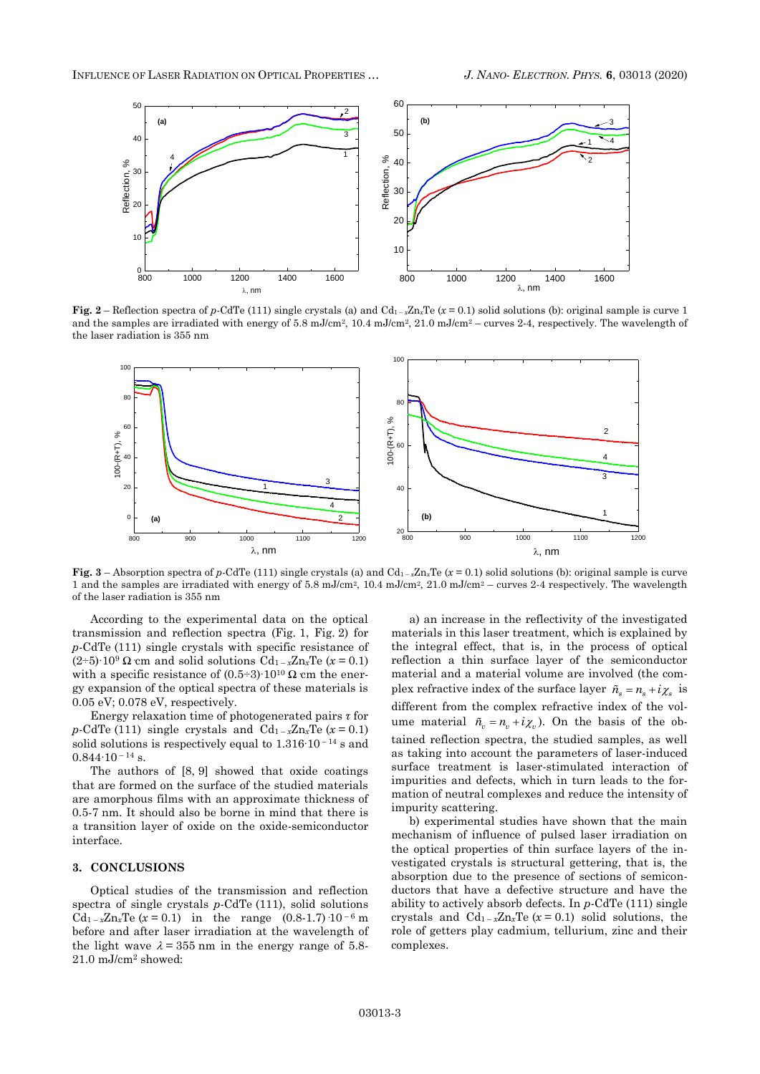

**Fig.** 2 – Reflection spectra of *p*-CdTe (111) single crystals (a) and  $Cd_{1-x}Zn_xTe(x=0.1)$  solid solutions (b): original sample is curve 1 and the samples are irradiated with energy of 5.8 mJ/cm<sup>2</sup>, 10.4 mJ/cm<sup>2</sup>, 21.0 mJ/cm<sup>2</sup> – curves 2-4, respectively. The wavelength of the laser radiation is 355 nm



**Fig.**  $3$  – Absorption spectra of *p*-CdTe (111) single crystals (a) and Cd<sub>1</sub> – *x*Zn<sub>x</sub>Te</sub> ( $x = 0.1$ ) solid solutions (b): original sample is curve 1 and the samples are irradiated with energy of 5.8 mJ/cm2, 10.4 mJ/cm2, 21.0 mJ/cm<sup>2</sup> – curves 2-4 respectively. The wavelength of the laser radiation is 355 nm

According to the experimental data on the optical transmission and reflection spectra (Fig. 1, Fig. 2) for *р-*CdTe (111) single crystals with specific resistance of  $(2\div 5)$ ⋅10<sup>9</sup> Ω cm and solid solutions Cd<sub>1 – *x*</sub>Zn*x*Te (*x* = 0.1) with a specific resistance of  $(0.5\div 3)$ ∙10<sup>10</sup> Ω cm the energy expansion of the optical spectra of these materials is 0.05 eV; 0.078 eV, respectively.

Energy relaxation time of photogenerated pairs *τ* for  $p$ **-CdTe (111)** single crystals and  $Cd_{1-x}Zn_xTe(x=0.1)$ solid solutions is respectively equal to 1.316∙10 – <sup>14</sup> s and  $0.844 \cdot 10^{-14}$  s.

The authors of [8, 9] showed that oxide coatings that are formed on the surface of the studied materials are amorphous films with an approximate thickness of 0.5-7 nm. It should also be borne in mind that there is a transition layer of oxide on the oxide-semiconductor interface.

### **3. CONCLUSIONS**

Optical studies of the transmission and reflection spectra of single crystals *p*-CdTe (111), solid solutions Cd<sub>1- $x$ </sub>Zn<sub>*x*</sub>Te (*x* = 0.1) in the range (0.8-1.7)  $\cdot$ 10<sup>-6</sup> m before and after laser irradiation at the wavelength of the light wave  $\lambda = 355$  nm in the energy range of 5.8-21.0 mJ/cm<sup>2</sup> showed:

a) an increase in the reflectivity of the investigated materials in this laser treatment, which is explained by the integral effect, that is, in the process of optical reflection a thin surface layer of the semiconductor material and a material volume are involved (the complex refractive index of the surface layer  $\tilde{n}_s = n_s + i\chi_s$  is different from the complex refractive index of the volume material  $\tilde{n}_v = n_v + i\chi_v$ ). On the basis of the obtained reflection spectra, the studied samples, as well as taking into account the parameters of laser-induced surface treatment is laser-stimulated interaction of impurities and defects, which in turn leads to the formation of neutral complexes and reduce the intensity of impurity scattering.

b) experimental studies have shown that the main mechanism of influence of pulsed laser irradiation on the optical properties of thin surface layers of the investigated crystals is structural gettering, that is, the absorption due to the presence of sections of semiconductors that have a defective structure and have the ability to actively absorb defects. In *р-*CdTe (111) single crystals and  $Cd_{1-x}Z_{n_x}Te(x=0.1)$  solid solutions, the role of getters play cadmium, tellurium, zinc and their complexes.